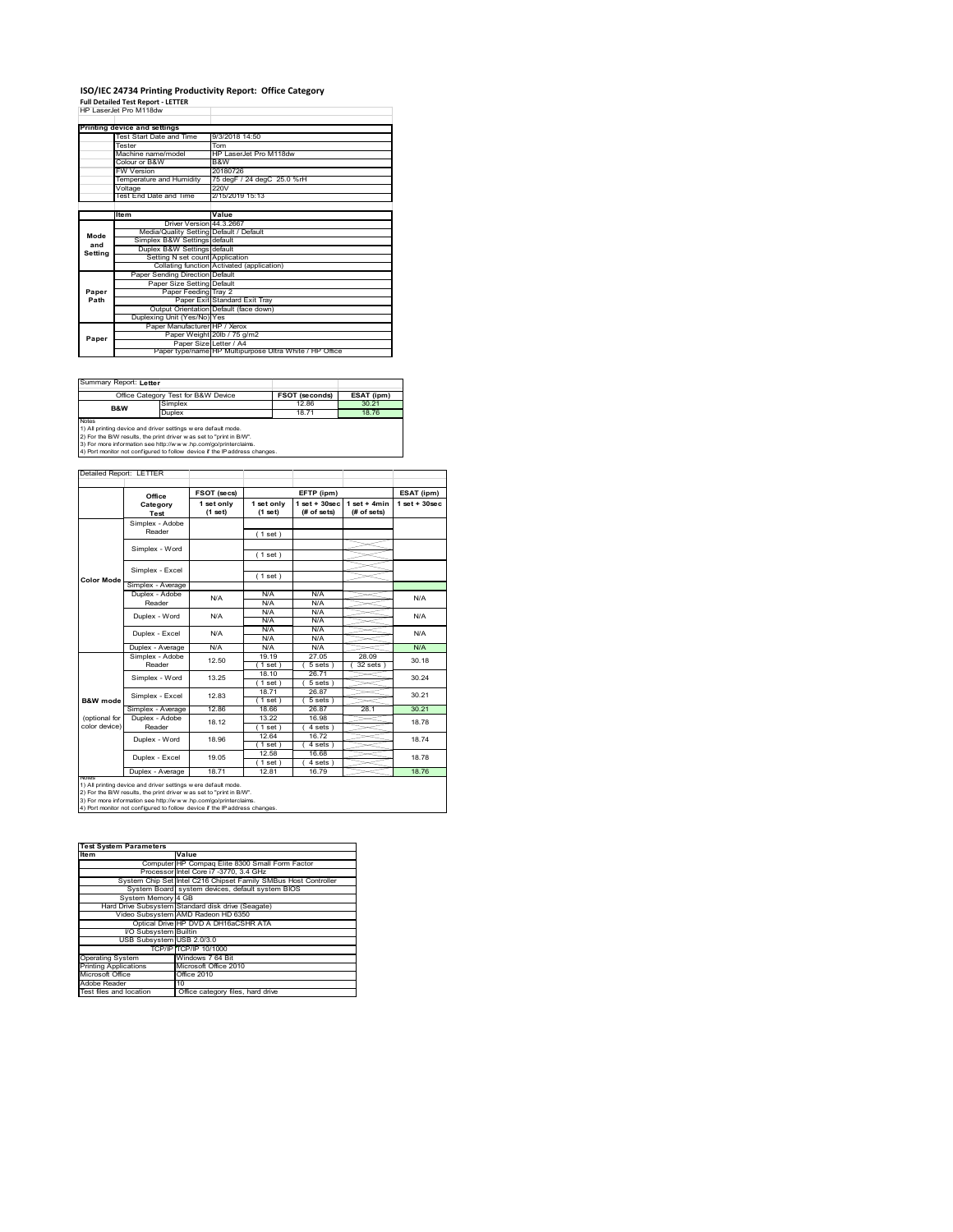# **ISO/IEC 24734 Printing Productivity Report: Office Category Full Detailed Test Report ‐ LETTER** HP LaserJet Pro M118dw

|                        | HP LaserJet Pro M1180W                  |                                                         |
|------------------------|-----------------------------------------|---------------------------------------------------------|
|                        | Printing device and settings            |                                                         |
|                        | Test Start Date and Time                | 9/3/2018 14:50                                          |
|                        | Tester                                  | Tom                                                     |
|                        | Machine name/model                      | HP LaserJet Pro M118dw                                  |
|                        | Colour or B&W                           | B&W                                                     |
|                        | <b>FW Version</b>                       | 20180726                                                |
|                        | Temperature and Humidity                | 75 degF / 24 degC 25.0 %rH                              |
|                        | Voltage                                 | 220V                                                    |
|                        | Test End Date and Time                  | 2/15/2019 15:13                                         |
|                        |                                         |                                                         |
|                        | Item                                    | Value                                                   |
|                        | Driver Version 44 3 2667                |                                                         |
| Mode<br>and<br>Settina | Media/Quality Setting Default / Default |                                                         |
|                        | Simplex B&W Settings default            |                                                         |
|                        | Duplex B&W Settings default             |                                                         |
|                        | Setting N set count Application         |                                                         |
|                        |                                         | Collating function Activated (application)              |
|                        | Paper Sending Direction Default         |                                                         |
|                        | Paper Size Setting Default              |                                                         |
| Paper                  | Paper Feeding Tray 2                    |                                                         |
| Path                   |                                         | Paper Exit Standard Exit Tray                           |
|                        |                                         | Output Orientation Default (face down)                  |
|                        | Duplexing Unit (Yes/No) Yes             |                                                         |
|                        | Paper Manufacturer HP / Xerox           |                                                         |
| Paper                  |                                         | Paper Weight 20lb / 75 g/m2                             |
|                        | Paper Size Letter / A4                  |                                                         |
|                        |                                         | Paper type/name HP Multipurpose Ultra White / HP Office |

Summary Report: **Letter**

|                                                                | Office Category Test for B&W Device                               | <b>FSOT (seconds)</b> | ESAT (ipm) |  |  |
|----------------------------------------------------------------|-------------------------------------------------------------------|-----------------------|------------|--|--|
| B&W                                                            | Simplex                                                           | 12.86                 | 30.21      |  |  |
|                                                                | Duplex                                                            | 1871                  | 1876       |  |  |
| Notes                                                          |                                                                   |                       |            |  |  |
| 1) All printing device and driver settings w ere default mode. |                                                                   |                       |            |  |  |
|                                                                | 2) For the RAM require the print driver was not to "print in RAA" |                       |            |  |  |

2) For the B/W results, the print driver w as set to "print in B/W".<br>3) For more information see http://w w w .hp.com/go/printerclaims.<br>4) Port monitor not configured to follow device if the IP address changes.

Detailed Report: LETTER

| 1 set only<br>(1 set)<br>Simplex - Average<br>N/A<br>N/A | 1 set only<br>(1 set)<br>(1 set)<br>(1 set)<br>(1 set)<br>N/A<br>N/A<br>N/A      | $1$ set $+30$ sec<br>(# of sets)<br>N/A<br>N/A                      | $1 set + 4 min$<br>(# of sets)                                  | $1$ set + $30$ sec |  |
|----------------------------------------------------------|----------------------------------------------------------------------------------|---------------------------------------------------------------------|-----------------------------------------------------------------|--------------------|--|
|                                                          |                                                                                  |                                                                     |                                                                 |                    |  |
|                                                          |                                                                                  |                                                                     |                                                                 |                    |  |
|                                                          |                                                                                  |                                                                     |                                                                 |                    |  |
|                                                          |                                                                                  |                                                                     |                                                                 |                    |  |
|                                                          |                                                                                  |                                                                     |                                                                 |                    |  |
|                                                          |                                                                                  |                                                                     |                                                                 |                    |  |
|                                                          |                                                                                  |                                                                     |                                                                 |                    |  |
|                                                          |                                                                                  |                                                                     |                                                                 |                    |  |
|                                                          |                                                                                  |                                                                     |                                                                 |                    |  |
|                                                          |                                                                                  |                                                                     |                                                                 | N/A                |  |
|                                                          |                                                                                  |                                                                     |                                                                 |                    |  |
|                                                          |                                                                                  | N/A                                                                 |                                                                 | N/A                |  |
|                                                          | N/A                                                                              | N/A                                                                 |                                                                 |                    |  |
| N/A                                                      | N/A                                                                              | N/A                                                                 |                                                                 | N/A                |  |
|                                                          | N/A                                                                              | N/A                                                                 |                                                                 |                    |  |
| N/A                                                      | N/A                                                                              | N/A                                                                 |                                                                 | N/A                |  |
| 12.50                                                    | 19 19                                                                            | 27.05                                                               | 28.09                                                           | 30.18              |  |
|                                                          | $1$ set)                                                                         | 5 sets )                                                            | $32$ sets $)$                                                   |                    |  |
| 13 25                                                    | 18.10                                                                            | 26.71                                                               |                                                                 | 30 24              |  |
|                                                          | $1$ set)                                                                         | 5 sets)                                                             |                                                                 |                    |  |
| 1283                                                     | 18.71                                                                            | 26.87                                                               |                                                                 | 30 21              |  |
|                                                          | 1 set                                                                            | 5 sets                                                              |                                                                 |                    |  |
| 12.86                                                    | 18.66                                                                            | 26.87                                                               | 28.1                                                            | 30.21              |  |
| 18.12                                                    | 13.22                                                                            | 16.98                                                               |                                                                 | 18.78              |  |
|                                                          | $1$ set $)$                                                                      | $4 sets$ )                                                          |                                                                 |                    |  |
|                                                          | 12.64                                                                            | 16.72                                                               |                                                                 | 18.74              |  |
|                                                          | 1 set                                                                            | 4 sets                                                              |                                                                 |                    |  |
|                                                          | 12.58                                                                            | 16.68                                                               |                                                                 | 1878               |  |
|                                                          | 1 set                                                                            | 4 sets                                                              |                                                                 |                    |  |
| 18.71                                                    | 12.81                                                                            | 16.79                                                               |                                                                 | 18.76              |  |
|                                                          | 18.96<br>19 05<br>1) All printing device and driver settings w ere default mode. | 2) For the B/W results, the print driver was set to "print in B/W". | 3) For more information see http://www.hp.com/go/printerclaims. |                    |  |

| <b>Test System Parameters</b> |                                                                 |
|-------------------------------|-----------------------------------------------------------------|
| <b>Item</b>                   | Value                                                           |
|                               | Computer HP Compaq Elite 8300 Small Form Factor                 |
|                               | Processor Intel Core i7 -3770, 3.4 GHz                          |
|                               | System Chip Set Intel C216 Chipset Family SMBus Host Controller |
|                               | System Board system devices, default system BIOS                |
| System Memory 4 GB            |                                                                 |
|                               | Hard Drive Subsystem Standard disk drive (Seagate)              |
|                               | Video Subsystem AMD Radeon HD 6350                              |
|                               | Optical Drive HP DVD A DH16aCSHR ATA                            |
| I/O Subsystem Builtin         |                                                                 |
| USB Subsystem USB 2.0/3.0     |                                                                 |
|                               | TCP/IP TCP/IP 10/1000                                           |
| <b>Operating System</b>       | Windows 7 64 Bit                                                |
| <b>Printing Applications</b>  | Microsoft Office 2010                                           |
| Microsoft Office              | Office 2010                                                     |
| Adobe Reader                  | 10                                                              |
| Test files and location       | Office category files, hard drive                               |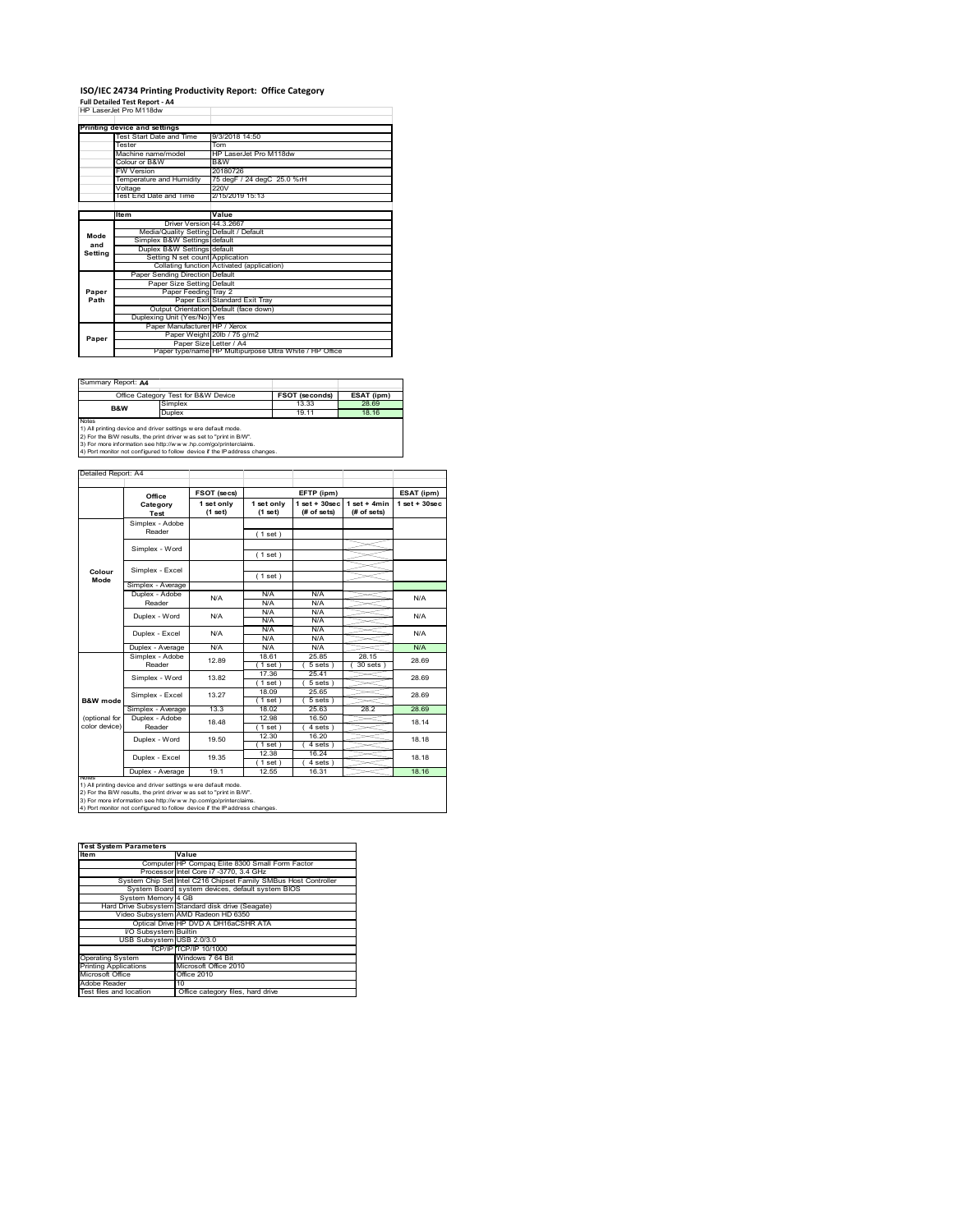### **ISO/IEC 24734 Printing Productivity Report: Office Category Full Detailed Test Report ‐ A4** HP LaserJet Pro M118dw

|                        | HP LaserJet Pro M1180W                  |                                                         |
|------------------------|-----------------------------------------|---------------------------------------------------------|
|                        | Printing device and settings            |                                                         |
|                        | Test Start Date and Time                | 9/3/2018 14:50                                          |
|                        | Tester                                  | Tom                                                     |
|                        | Machine name/model                      | HP LaserJet Pro M118dw                                  |
|                        | Colour or B&W                           | B&W                                                     |
|                        | <b>FW Version</b>                       | 20180726                                                |
|                        | Temperature and Humidity                | 75 degF / 24 degC 25.0 %rH                              |
|                        | Voltage                                 | 220V                                                    |
|                        | Test End Date and Time                  | 2/15/2019 15:13                                         |
|                        |                                         |                                                         |
|                        | ltem                                    | Value                                                   |
|                        | Driver Version 44.3.2667                |                                                         |
| Mode<br>and<br>Setting | Media/Quality Setting Default / Default |                                                         |
|                        | Simplex B&W Settings default            |                                                         |
|                        | Duplex B&W Settings default             |                                                         |
|                        | Setting N set count Application         |                                                         |
|                        |                                         | Collating function Activated (application)              |
|                        | Paper Sending Direction Default         |                                                         |
|                        | Paper Size Setting Default              |                                                         |
| Paper                  | Paper Feeding Tray 2                    |                                                         |
| Path                   |                                         | Paper Exit Standard Exit Trav                           |
|                        |                                         | Output Orientation Default (face down)                  |
|                        | Duplexing Unit (Yes/No) Yes             |                                                         |
|                        | Paper Manufacturer HP / Xerox           |                                                         |
| Paper                  |                                         | Paper Weight 20lb / 75 g/m2                             |
|                        | Paper Size Letter / A4                  |                                                         |
|                        |                                         | Paper type/name HP Multipurpose Ultra White / HP Office |

Summary Report: **A4**

| PQQUIIIIII.                                                    |                                                                   |                       |            |  |  |
|----------------------------------------------------------------|-------------------------------------------------------------------|-----------------------|------------|--|--|
|                                                                | Office Category Test for B&W Device                               | <b>FSOT (seconds)</b> | ESAT (ipm) |  |  |
| B&W                                                            | Simplex                                                           | 13.33                 | 28.69      |  |  |
|                                                                | Duplex                                                            | 19 11                 | 18.16      |  |  |
| Notes                                                          |                                                                   |                       |            |  |  |
| 1) All printing device and driver settings w ere default mode. |                                                                   |                       |            |  |  |
|                                                                | 2) For the RAM require the print driver was not to "print in RAA" |                       |            |  |  |

2) For the B/W results, the print driver w as set to "print in B/W".<br>3) For more information see http://w w w .hp.com/go/printerclaims.<br>4) Port monitor not configured to follow device if the IP address changes.

|                     | Office            | FSOT (secs)           |                       | EFTP (ipm)                       |                               | ESAT (ipm)        |  |
|---------------------|-------------------|-----------------------|-----------------------|----------------------------------|-------------------------------|-------------------|--|
|                     | Category<br>Test  | 1 set only<br>(1 set) | 1 set only<br>(1 set) | $1$ set $+30$ sec<br>(# of sets) | $1$ set + 4min<br>(# of sets) | $1$ set $+30$ sec |  |
|                     | Simplex - Adobe   |                       |                       |                                  |                               |                   |  |
|                     | Reader            |                       | (1 set)               |                                  |                               |                   |  |
|                     | Simplex - Word    |                       |                       |                                  |                               |                   |  |
|                     |                   |                       | (1 set)               |                                  |                               |                   |  |
| Colour              | Simplex - Excel   |                       |                       |                                  |                               |                   |  |
| Mode                |                   |                       | (1 set)               |                                  |                               |                   |  |
|                     | Simplex - Average |                       |                       |                                  |                               |                   |  |
|                     | Duplex - Adobe    | N/A                   | N/A                   | N/A                              |                               | N/A               |  |
|                     | Reader            |                       | N/A                   | N/A                              |                               |                   |  |
|                     | Duplex - Word     | N/A                   | N/A                   | N/A                              |                               | N/A               |  |
|                     |                   |                       | N/A                   | N/A                              |                               |                   |  |
|                     | Duplex - Excel    | N/A                   | N/A                   | N/A                              |                               | N/A               |  |
|                     |                   |                       | N/A                   | N/A                              |                               |                   |  |
|                     | Duplex - Average  | N/A                   | N/A                   | N/A                              |                               | N/A               |  |
|                     | Simplex - Adobe   | 12.89                 | 18.61                 | 25.85                            | 28 15                         | 28.69             |  |
|                     | Reader            |                       | 1 set )               | 5 sets                           | 30 sets                       |                   |  |
|                     | Simplex - Word    | 13.82                 | 17.36                 | 25.41                            |                               | 28.69             |  |
|                     |                   |                       | $1$ set)              | 5 sets)                          |                               |                   |  |
|                     | Simplex - Excel   | 13.27                 | 18.09                 | 25.65                            |                               | 28.69             |  |
| <b>B&amp;W</b> mode |                   |                       | $1$ set)              | 5 sets)                          |                               |                   |  |
|                     | Simplex - Average | 13.3                  | 18.02                 | 25.63                            | 28.2                          | 28.69             |  |
| (optional for       | Duplex - Adobe    | 18.48                 | 12.98                 | 16.50                            |                               | 18.14             |  |
| color device)       | Reader            |                       | $1$ set)              | 4 sets                           |                               |                   |  |
|                     | Duplex - Word     | 19.50                 | 12.30                 | 16.20                            |                               | 18.18             |  |
|                     |                   |                       | 1 set)                | 4 sets                           |                               |                   |  |
|                     | Duplex - Excel    | 19.35                 | 12.38                 | 16.24                            |                               | 18.18             |  |
|                     |                   |                       | $1$ set)              | 4 sets )                         |                               |                   |  |
|                     | Duplex - Average  | 19.1                  | 12.55                 | 16.31                            |                               | 18.16             |  |

| <b>Test System Parameters</b> |                                                                 |  |  |  |
|-------------------------------|-----------------------------------------------------------------|--|--|--|
| <b>Item</b>                   | Value                                                           |  |  |  |
|                               | Computer HP Compaq Elite 8300 Small Form Factor                 |  |  |  |
|                               | Processor Intel Core i7 -3770, 3.4 GHz                          |  |  |  |
|                               | System Chip Set Intel C216 Chipset Family SMBus Host Controller |  |  |  |
|                               | System Board system devices, default system BIOS                |  |  |  |
| System Memory 4 GB            |                                                                 |  |  |  |
|                               | Hard Drive Subsystem Standard disk drive (Seagate)              |  |  |  |
|                               | Video Subsystem AMD Radeon HD 6350                              |  |  |  |
|                               | Optical Drive HP DVD A DH16aCSHR ATA                            |  |  |  |
| I/O Subsystem Builtin         |                                                                 |  |  |  |
| USB Subsystem USB 2.0/3.0     |                                                                 |  |  |  |
|                               | TCP/IP TCP/IP 10/1000                                           |  |  |  |
| <b>Operating System</b>       | Windows 7 64 Bit                                                |  |  |  |
| <b>Printing Applications</b>  | Microsoft Office 2010                                           |  |  |  |
| Microsoft Office              | Office 2010                                                     |  |  |  |
| Adobe Reader                  | 10                                                              |  |  |  |
| Test files and location       | Office category files, hard drive                               |  |  |  |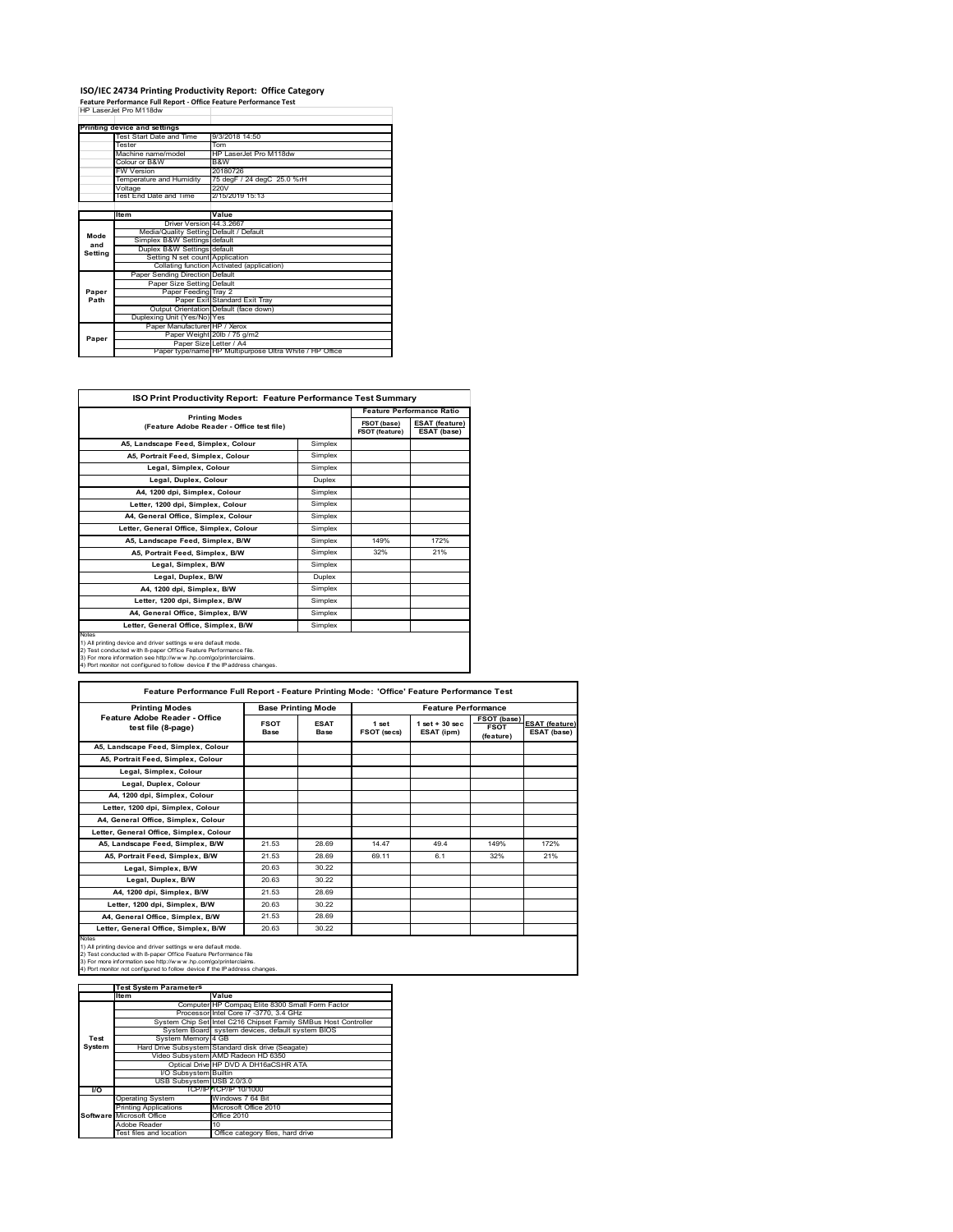#### **ISO/IEC 24734 Printing Productivity Report: Office Category**

**Feature Performance Full Report ‐ Office Feature Performance Test** HP LaserJet Pro M118dw

|             | Printing device and settings            |                                                         |  |  |
|-------------|-----------------------------------------|---------------------------------------------------------|--|--|
|             | Test Start Date and Time                | 9/3/2018 14:50                                          |  |  |
|             | Tester                                  | Tom                                                     |  |  |
|             | Machine name/model                      | HP I aser let Pro M118dw                                |  |  |
|             | Colour or B&W                           | B&W                                                     |  |  |
|             | <b>FW Version</b>                       | 20180726                                                |  |  |
|             | Temperature and Humidity                | 75 degF / 24 degC 25.0 %rH                              |  |  |
|             | Voltage                                 | 220V                                                    |  |  |
|             | Test End Date and Time                  | 2/15/2019 15:13                                         |  |  |
|             |                                         |                                                         |  |  |
|             | <b>Item</b>                             | Value                                                   |  |  |
|             | Driver Version 44.3.2667                |                                                         |  |  |
| Mode<br>and | Media/Quality Setting Default / Default |                                                         |  |  |
|             | Simplex B&W Settings default            |                                                         |  |  |
| Setting     | Duplex B&W Settings default             |                                                         |  |  |
|             | Setting N set count Application         |                                                         |  |  |
|             |                                         | Collating function Activated (application)              |  |  |
|             | Paper Sending Direction Default         |                                                         |  |  |
|             | Paper Size Setting Default              |                                                         |  |  |
| Paper       | Paper Feeding Tray 2                    |                                                         |  |  |
| Path        |                                         | Paper Exit Standard Exit Trav                           |  |  |
|             |                                         | Output Orientation Default (face down)                  |  |  |
|             | Duplexing Unit (Yes/No) Yes             |                                                         |  |  |
|             | Paper Manufacturer HP / Xerox           |                                                         |  |  |
| Paper       |                                         | Paper Weight 20lb / 75 g/m2                             |  |  |
|             | Paper Size Letter / A4                  |                                                         |  |  |
|             |                                         | Paper type/name HP Multipurpose Ultra White / HP Office |  |  |

| <b>ISO Print Productivity Report: Feature Performance Test Summary</b>                                                                                                                                                                                                                      |               |                                      |                                      |  |
|---------------------------------------------------------------------------------------------------------------------------------------------------------------------------------------------------------------------------------------------------------------------------------------------|---------------|--------------------------------------|--------------------------------------|--|
|                                                                                                                                                                                                                                                                                             |               |                                      | <b>Feature Performance Ratio</b>     |  |
| <b>Printing Modes</b><br>(Feature Adobe Reader - Office test file)                                                                                                                                                                                                                          |               | FSOT (base)<br><b>FSOT (feature)</b> | <b>ESAT (feature)</b><br>ESAT (base) |  |
| A5, Landscape Feed, Simplex, Colour                                                                                                                                                                                                                                                         | Simplex       |                                      |                                      |  |
| A5. Portrait Feed. Simplex. Colour<br>Simplex                                                                                                                                                                                                                                               |               |                                      |                                      |  |
| Legal, Simplex, Colour                                                                                                                                                                                                                                                                      | Simplex       |                                      |                                      |  |
| Legal, Duplex, Colour                                                                                                                                                                                                                                                                       | <b>Duplex</b> |                                      |                                      |  |
| A4, 1200 dpi, Simplex, Colour                                                                                                                                                                                                                                                               | Simplex       |                                      |                                      |  |
| Letter, 1200 dpi, Simplex, Colour                                                                                                                                                                                                                                                           | Simplex       |                                      |                                      |  |
| A4, General Office, Simplex, Colour                                                                                                                                                                                                                                                         | Simplex       |                                      |                                      |  |
| Letter, General Office, Simplex, Colour                                                                                                                                                                                                                                                     | Simplex       |                                      |                                      |  |
| A5, Landscape Feed, Simplex, B/W                                                                                                                                                                                                                                                            | Simplex       | 149%                                 | 172%                                 |  |
| A5, Portrait Feed, Simplex, B/W                                                                                                                                                                                                                                                             | Simplex       | 32%                                  | 21%                                  |  |
| Legal, Simplex, B/W                                                                                                                                                                                                                                                                         | Simplex       |                                      |                                      |  |
| Legal, Duplex, B/W                                                                                                                                                                                                                                                                          | Duplex        |                                      |                                      |  |
| A4. 1200 dpi. Simplex. B/W                                                                                                                                                                                                                                                                  | Simplex       |                                      |                                      |  |
| Letter, 1200 dpi, Simplex, B/W                                                                                                                                                                                                                                                              | Simplex       |                                      |                                      |  |
| A4, General Office, Simplex, B/W                                                                                                                                                                                                                                                            | Simplex       |                                      |                                      |  |
| Letter, General Office, Simplex, B/W                                                                                                                                                                                                                                                        | Simplex       |                                      |                                      |  |
| Notes<br>1) All printing device and driver settings w ere default mode.<br>2) Test conducted with 8-paper Office Feature Performance file.<br>3) For more information see http://www.hp.com/go/printerclaims.<br>4) Port monitor not configured to follow device if the IP address changes. |               |                                      |                                      |  |

| <b>Printing Modes</b>                               | <b>Base Printing Mode</b>  |                            |                      | <b>Feature Performance</b>       |                                         |                                      |
|-----------------------------------------------------|----------------------------|----------------------------|----------------------|----------------------------------|-----------------------------------------|--------------------------------------|
| Feature Adobe Reader - Office<br>test file (8-page) | <b>FSOT</b><br><b>Base</b> | <b>ESAT</b><br><b>Base</b> | 1 set<br>FSOT (secs) | $1$ set $+30$ sec.<br>ESAT (ipm) | FSOT (base)<br><b>FSOT</b><br>(feature) | <b>ESAT (feature)</b><br>ESAT (base) |
| A5, Landscape Feed, Simplex, Colour                 |                            |                            |                      |                                  |                                         |                                      |
| A5, Portrait Feed, Simplex, Colour                  |                            |                            |                      |                                  |                                         |                                      |
| Legal, Simplex, Colour                              |                            |                            |                      |                                  |                                         |                                      |
| Legal, Duplex, Colour                               |                            |                            |                      |                                  |                                         |                                      |
| A4, 1200 dpi, Simplex, Colour                       |                            |                            |                      |                                  |                                         |                                      |
| Letter, 1200 dpi, Simplex, Colour                   |                            |                            |                      |                                  |                                         |                                      |
| A4. General Office. Simplex. Colour                 |                            |                            |                      |                                  |                                         |                                      |
| Letter, General Office, Simplex, Colour             |                            |                            |                      |                                  |                                         |                                      |
| A5, Landscape Feed, Simplex, B/W                    | 21.53                      | 28.69                      | 14 47                | 494                              | 149%                                    | 172%                                 |
| A5, Portrait Feed, Simplex, B/W                     | 21.53                      | 28.69                      | 69 11                | 6.1                              | 32%                                     | 21%                                  |
| Legal, Simplex, B/W                                 | 20.63                      | 30.22                      |                      |                                  |                                         |                                      |
| Legal, Duplex, B/W                                  | 20.63                      | 30.22                      |                      |                                  |                                         |                                      |
| A4. 1200 dpi. Simplex, B/W                          | 21.53                      | 28.69                      |                      |                                  |                                         |                                      |
| Letter, 1200 dpi, Simplex, B/W                      | 20.63                      | 30.22                      |                      |                                  |                                         |                                      |
| A4, General Office, Simplex, B/W                    | 21.53                      | 28.69                      |                      |                                  |                                         |                                      |
| Letter, General Office, Simplex, B/W                | 20.63                      | 30.22                      |                      |                                  |                                         |                                      |

Notes<br>1) All printing device and driver settings were default mode.<br>2) Test conducted with 8-paper Office Feature Performance file<br>3) For more information see http://www.hp.com/go/printerclaims.<br>4) Por monitor not configur

|        | <b>Test System Parameters</b> |                                                                 |  |  |
|--------|-------------------------------|-----------------------------------------------------------------|--|--|
|        | Item                          | Value                                                           |  |  |
|        |                               | Computer HP Compaq Elite 8300 Small Form Factor                 |  |  |
|        |                               | Processor Intel Core i7 -3770, 3.4 GHz                          |  |  |
|        |                               | System Chip Set Intel C216 Chipset Family SMBus Host Controller |  |  |
|        |                               | System Board system devices, default system BIOS                |  |  |
| Test   | System Memory 4 GB            |                                                                 |  |  |
| System |                               | Hard Drive Subsystem Standard disk drive (Seagate)              |  |  |
|        |                               | Video Subsystem AMD Radeon HD 6350                              |  |  |
|        |                               | Optical Drive HP DVD A DH16aCSHR ATA                            |  |  |
|        | I/O Subsystem Builtin         |                                                                 |  |  |
|        | USB Subsystem USB 2.0/3.0     |                                                                 |  |  |
| I/O    |                               | TCP/IP TCP/IP 10/1000                                           |  |  |
|        | <b>Operating System</b>       | Windows 7 64 Bit                                                |  |  |
|        | <b>Printing Applications</b>  | Microsoft Office 2010                                           |  |  |
|        | Software Microsoft Office     | Office 2010                                                     |  |  |
|        | Adobe Reader                  | 10                                                              |  |  |
|        | Test files and location       | Office category files, hard drive                               |  |  |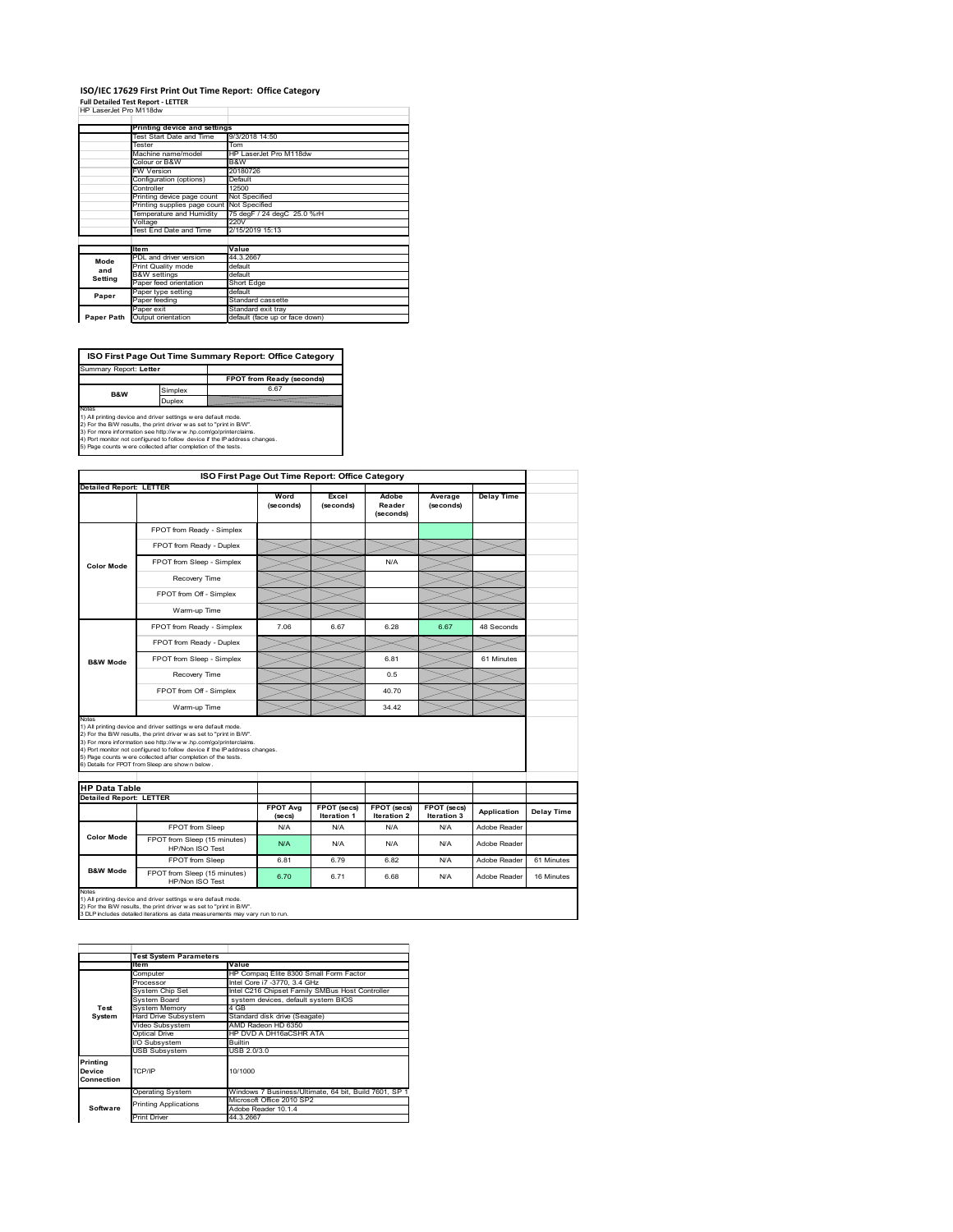## **ISO/IEC 17629 First Print Out Time Report: Office Category**

| <b>Full Detailed Test Report - LETTER</b> |  |
|-------------------------------------------|--|
| HP LaserJet Pro M118dw                    |  |

|            | Printing device and settings  |                                |
|------------|-------------------------------|--------------------------------|
|            | Test Start Date and Time      | 9/3/2018 14:50                 |
|            | Tester                        | Tom                            |
|            | Machine name/model            | HP LaserJet Pro M118dw         |
|            | Colour or B&W                 | B&W                            |
|            | <b>FW Version</b>             | 20180726                       |
|            | Configuration (options)       | Default                        |
|            | Controller                    | 12500                          |
|            | Printing device page count    | Not Specified                  |
|            | Printing supplies page count  | Not Specified                  |
|            | Temperature and Humidity      | 75 degF / 24 degC 25.0 %rH     |
|            | Voltage                       | 220V                           |
|            | <b>Test End Date and Time</b> | 2/15/2019 15:13                |
|            |                               |                                |
|            | <b>Item</b>                   | Value                          |
| Mode       | PDL and driver version        | 44.3.2667                      |
| and        | Print Quality mode            | default                        |
| Setting    | <b>B&amp;W</b> settings       | default                        |
|            | Paper feed orientation        | Short Edge                     |
| Paper      | Paper type setting            | default                        |
|            | Paper feeding                 | Standard cassette              |
|            | Paper exit                    | Standard exit tray             |
| Paper Path | Output orientation            | default (face up or face down) |

**FPOT from Ready (seconds)**<br>
Simplex 6.67 **ISO First Page Out Time Summary Report: Office Category** rt: **Letter B&W**

**Duplex**<br>Notes<br>1) All printing device and driver settings were default mode.<br>2) For the BM results, the print driver was set to "print in BM".<br>4) For more information see http://www.hp.com/golprinterclaims.<br>4) Port monitor

|                                                                 |                                                                                                                                                                                                                                                                                                                                                                                                             | ISO First Page Out Time Report: Office Category |                                   |                              |                            |                   |            |
|-----------------------------------------------------------------|-------------------------------------------------------------------------------------------------------------------------------------------------------------------------------------------------------------------------------------------------------------------------------------------------------------------------------------------------------------------------------------------------------------|-------------------------------------------------|-----------------------------------|------------------------------|----------------------------|-------------------|------------|
| <b>Detailed Report: LETTER</b>                                  |                                                                                                                                                                                                                                                                                                                                                                                                             | Word<br>(seconds)                               | Excel<br>(seconds)                | Adobe<br>Reader<br>(seconds) | Average<br>(seconds)       | <b>Delay Time</b> |            |
|                                                                 | FPOT from Ready - Simplex                                                                                                                                                                                                                                                                                                                                                                                   |                                                 |                                   |                              |                            |                   |            |
|                                                                 | FPOT from Ready - Duplex                                                                                                                                                                                                                                                                                                                                                                                    |                                                 |                                   |                              |                            |                   |            |
| <b>Color Mode</b>                                               | FPOT from Sleep - Simplex                                                                                                                                                                                                                                                                                                                                                                                   |                                                 |                                   | N/A                          |                            |                   |            |
|                                                                 | Recovery Time                                                                                                                                                                                                                                                                                                                                                                                               |                                                 |                                   |                              |                            |                   |            |
|                                                                 | FPOT from Off - Simplex                                                                                                                                                                                                                                                                                                                                                                                     |                                                 |                                   |                              |                            |                   |            |
|                                                                 | Warm-up Time                                                                                                                                                                                                                                                                                                                                                                                                |                                                 |                                   |                              |                            |                   |            |
|                                                                 | FPOT from Ready - Simplex                                                                                                                                                                                                                                                                                                                                                                                   | 7.06                                            | 6.67                              | 6.28                         | 6.67                       | 48 Seconds        |            |
|                                                                 | FPOT from Ready - Duplex                                                                                                                                                                                                                                                                                                                                                                                    |                                                 |                                   |                              |                            |                   |            |
| <b>B&amp;W Mode</b>                                             | FPOT from Sleep - Simplex                                                                                                                                                                                                                                                                                                                                                                                   |                                                 |                                   | 6.81                         |                            | 61 Minutes        |            |
|                                                                 | Recovery Time                                                                                                                                                                                                                                                                                                                                                                                               |                                                 |                                   | 0.5                          |                            |                   |            |
|                                                                 |                                                                                                                                                                                                                                                                                                                                                                                                             |                                                 |                                   |                              |                            |                   |            |
|                                                                 | FPOT from Off - Simplex                                                                                                                                                                                                                                                                                                                                                                                     |                                                 |                                   | 40.70                        |                            |                   |            |
|                                                                 | Warm-up Time                                                                                                                                                                                                                                                                                                                                                                                                |                                                 |                                   | 34.42                        |                            |                   |            |
|                                                                 | 1) All printing device and driver settings w ere default mode.<br>2) For the B/W results, the print driver was set to "print in B/W".<br>3) For more information see http://www.hp.com/go/printerclaims.<br>4) Port monitor not configured to follow device if the IP address changes.<br>5) Page counts w ere collected after completion of the tests.<br>6) Details for FPOT from Sleep are show n below. |                                                 |                                   |                              |                            |                   |            |
|                                                                 |                                                                                                                                                                                                                                                                                                                                                                                                             |                                                 |                                   |                              |                            |                   |            |
| Notes<br><b>HP Data Table</b><br><b>Detailed Report: LETTER</b> |                                                                                                                                                                                                                                                                                                                                                                                                             | <b>FPOT Ava</b><br>(se cs)                      | FPOT (secs)<br><b>Iteration 1</b> | FPOT (secs)<br>Iteration 2   | FPOT (secs)<br>Iteration 3 | Application       | Delay Time |
|                                                                 | FPOT from Sleep                                                                                                                                                                                                                                                                                                                                                                                             | N/A                                             | N/A                               | N/A                          | N/A                        | Adobe Reader      |            |
| <b>Color Mode</b>                                               | FPOT from Sleep (15 minutes)<br>HP/Non ISO Test                                                                                                                                                                                                                                                                                                                                                             | N/A                                             | N/A                               | N/A                          | N/A                        | Adobe Reader      |            |
|                                                                 | FPOT from Sleep                                                                                                                                                                                                                                                                                                                                                                                             | 6.81                                            | 6.79                              | 6.82                         | N/A                        | Adobe Reader      | 61 Minutes |

1) All printing device and driver settings w ere default mode.<br>2) For the B/W results, the print driver w as set to "print in B/W".<br>3 DLP includes detailed iterations as data measurements may vary run to run.

|            | <b>Test System Parameters</b> |                                                       |  |  |  |
|------------|-------------------------------|-------------------------------------------------------|--|--|--|
|            | <b>Item</b>                   | Value                                                 |  |  |  |
|            | Computer                      | HP Compag Elite 8300 Small Form Factor                |  |  |  |
|            | Processor                     | Intel Core i7 -3770, 3.4 GHz                          |  |  |  |
|            | System Chip Set               | Intel C216 Chipset Family SMBus Host Controller       |  |  |  |
|            | System Board                  | system devices, default system BIOS                   |  |  |  |
| Test       | <b>System Memory</b>          | 4 GB                                                  |  |  |  |
| System     | Hard Drive Subsystem          | Standard disk drive (Seagate)                         |  |  |  |
|            | Video Subsystem               | AMD Radeon HD 6350                                    |  |  |  |
|            | Optical Drive                 | HP DVD A DH16aCSHR ATA                                |  |  |  |
|            | VO Subsystem                  | <b>Builtin</b>                                        |  |  |  |
|            | <b>USB Subsystem</b>          | USB 2.0/3.0                                           |  |  |  |
| Printing   |                               |                                                       |  |  |  |
| Device     | TCP/IP                        | 10/1000                                               |  |  |  |
| Connection |                               |                                                       |  |  |  |
|            |                               |                                                       |  |  |  |
|            | <b>Operating System</b>       | Windows 7 Business/Ultimate, 64 bit, Build 7601, SP 1 |  |  |  |
|            | <b>Printing Applications</b>  | Microsoft Office 2010 SP2                             |  |  |  |
| Software   |                               | Adobe Reader 10.1.4                                   |  |  |  |
|            | <b>Print Driver</b>           | 44.3.2667                                             |  |  |  |